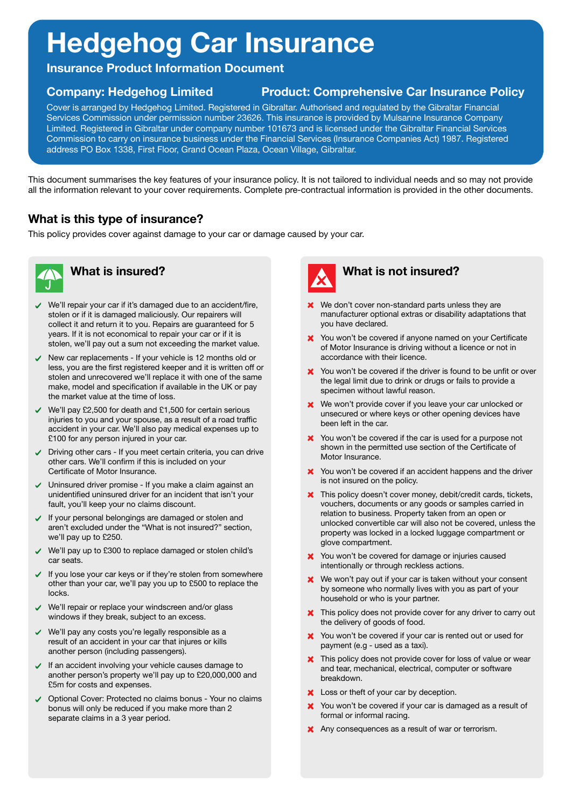# **Hedgehog Car Insurance**

**Insurance Product Information Document**

## **Company: Hedgehog Limited Product: Comprehensive Car Insurance Policy**

Cover is arranged by Hedgehog Limited. Registered in Gibraltar. Authorised and regulated by the Gibraltar Financial Services Commission under permission number 23626. This insurance is provided by Mulsanne Insurance Company Limited. Registered in Gibraltar under company number 101673 and is licensed under the Gibraltar Financial Services Commission to carry on insurance business under the Financial Services (Insurance Companies Act) 1987. Registered address PO Box 1338, First Floor, Grand Ocean Plaza, Ocean Village, Gibraltar.

This document summarises the key features of your insurance policy. It is not tailored to individual needs and so may not provide all the information relevant to your cover requirements. Complete pre-contractual information is provided in the other documents.

- We'll repair your car if it's damaged due to an accident/fire,  $\checkmark$ stolen or if it is damaged maliciously. Our repairers will collect it and return it to you. Repairs are guaranteed for 5 years. If it is not economical to repair your car or if it is stolen, we'll pay out a sum not exceeding the market value.
- $\vee$  New car replacements If your vehicle is 12 months old or less, you are the first registered keeper and it is written off or stolen and unrecovered we'll replace it with one of the same make, model and specification if available in the UK or pay the market value at the time of loss.

# **What is this type of insurance?**

This policy provides cover against damage to your car or damage caused by your car.





- **X** We don't cover non-standard parts unless they are manufacturer optional extras or disability adaptations that you have declared.
- You won't be covered if anyone named on your Certificate of Motor Insurance is driving without a licence or not in accordance with their licence.
- X You won't be covered if the driver is found to be unfit or over the legal limit due to drink or drugs or fails to provide a specimen without lawful reason.
- We won't provide cover if you leave your car unlocked or  $\boldsymbol{\mathsf{x}}$ unsecured or where keys or other opening devices have been left in the car.
- $\vee$  We'll pay £2,500 for death and £1,500 for certain serious injuries to you and your spouse, as a result of a road traffic accident in your car. We'll also pay medical expenses up to £100 for any person injured in your car.
- Driving other cars If you meet certain criteria, you can drive other cars. We'll confirm if this is included on your Certificate of Motor Insurance.
- Uninsured driver promise If you make a claim against an unidentified uninsured driver for an incident that isn't your fault, you'll keep your no claims discount.
- $\checkmark$  If your personal belongings are damaged or stolen and aren't excluded under the "What is not insured?" section, we'll pay up to £250.
- We'll pay up to £300 to replace damaged or stolen child's car seats.
- $\checkmark$  If you lose your car keys or if they're stolen from somewhere other than your car, we'll pay you up to £500 to replace the locks.
- We'll repair or replace your windscreen and/or glass  $\blacktriangledown$ windows if they break, subject to an excess.
- X You won't be covered if the car is used for a purpose not shown in the permitted use section of the Certificate of Motor Insurance.
- X You won't be covered if an accident happens and the driver is not insured on the policy.
- This policy doesn't cover money, debit/credit cards, tickets, vouchers, documents or any goods or samples carried in relation to business. Property taken from an open or unlocked convertible car will also not be covered, unless the property was locked in a locked luggage compartment or glove compartment.
- **X** You won't be covered for damage or injuries caused intentionally or through reckless actions.
- We won't pay out if your car is taken without your consent by someone who normally lives with you as part of your household or who is your partner.
- We'll pay any costs you're legally responsible as a  $\blacktriangledown$ result of an accident in your car that injures or kills another person (including passengers).
- $\checkmark$  If an accident involving your vehicle causes damage to another person's property we'll pay up to £20,000,000 and £5m for costs and expenses.
- Optional Cover: Protected no claims bonus Your no claims bonus will only be reduced if you make more than 2 separate claims in a 3 year period.
- This policy does not provide cover for any driver to carry out the delivery of goods of food.
- X You won't be covered if your car is rented out or used for payment (e.g - used as a taxi).
- **X** This policy does not provide cover for loss of value or wear and tear, mechanical, electrical, computer or software breakdown.
- Loss or theft of your car by deception.
- X You won't be covered if your car is damaged as a result of formal or informal racing.
- Any consequences as a result of war or terrorism.